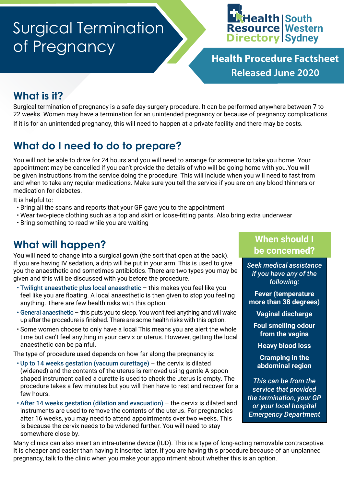# Surgical Termination of Pregnancy



**Health Procedure Factsheet Released June 2020**

# **What is it?**

Surgical termination of pregnancy is a safe day-surgery procedure. It can be performed anywhere between 7 to 22 weeks. Women may have a termination for an unintended pregnancy or because of pregnancy complications. If it is for an unintended pregnancy, this will need to happen at a private facility and there may be costs.

# **What do I need to do to prepare?**

You will not be able to drive for 24 hours and you will need to arrange for someone to take you home. Your appointment may be cancelled if you can't provide the details of who will be going home with you.You will be given instructions from the service doing the procedure. This will include when you will need to fast from and when to take any regular medications. Make sure you tell the service if you are on any blood thinners or medication for diabetes.

It is helpful to:

- Bring all the scans and reports that your GP gave you to the appointment
- Wear two-piece clothing such as a top and skirt or loose-fitting pants. Also bring extra underwear
- Bring something to read while you are waiting

# **What will happen?**

You will need to change into a surgical gown (the sort that open at the back). If you are having IV sedation, a drip will be put in your arm. This is used to give you the anaesthetic and sometimes antibiotics. There are two types you may be given and this will be discussed with you before the procedure.

- Twilight anaesthetic plus local anaesthetic this makes you feel like you feel like you are floating. A local anaesthetic is then given to stop you feeling anything. There are few health risks with this option.
- General anaesthetic this puts you to sleep. You won't feel anything and will wake up after the procedure is finished. There are some health risks with this option.
- Some women choose to only have a local This means you are alert the whole time but can't feel anything in your cervix or uterus. However, getting the local anaesthetic can be painful.

The type of procedure used depends on how far along the pregnancy is:

- Up to 14 weeks gestation (vacuum curettage) the cervix is dilated (widened) and the contents of the uterus is removed using gentle A spoon shaped instrument called a curette is used to check the uterus is empty. The procedure takes a few minutes but you will then have to rest and recover for a few hours.
- After 14 weeks gestation (dilation and evacuation) the cervix is dilated and instruments are used to remove the contents of the uterus. For pregnancies after 16 weeks, you may need to attend appointments over two weeks. This is because the cervix needs to be widened further. You will need to stay somewhere close by.

#### **When should I be concerned?**

*Seek medical assistance if you have any of the following:*

**Fever (temperature more than 38 degrees)**

**Vaginal discharge**

**Foul smelling odour from the vagina**

**Heavy blood loss**

**Cramping in the abdominal region**

*This can be from the service that provided the termination, your GP or your local hospital Emergency Department*

Many clinics can also insert an intra-uterine device (IUD). This is a type of long-acting removable contraceptive. It is cheaper and easier than having it inserted later. If you are having this procedure because of an unplanned pregnancy, talk to the clinic when you make your appointment about whether this is an option.